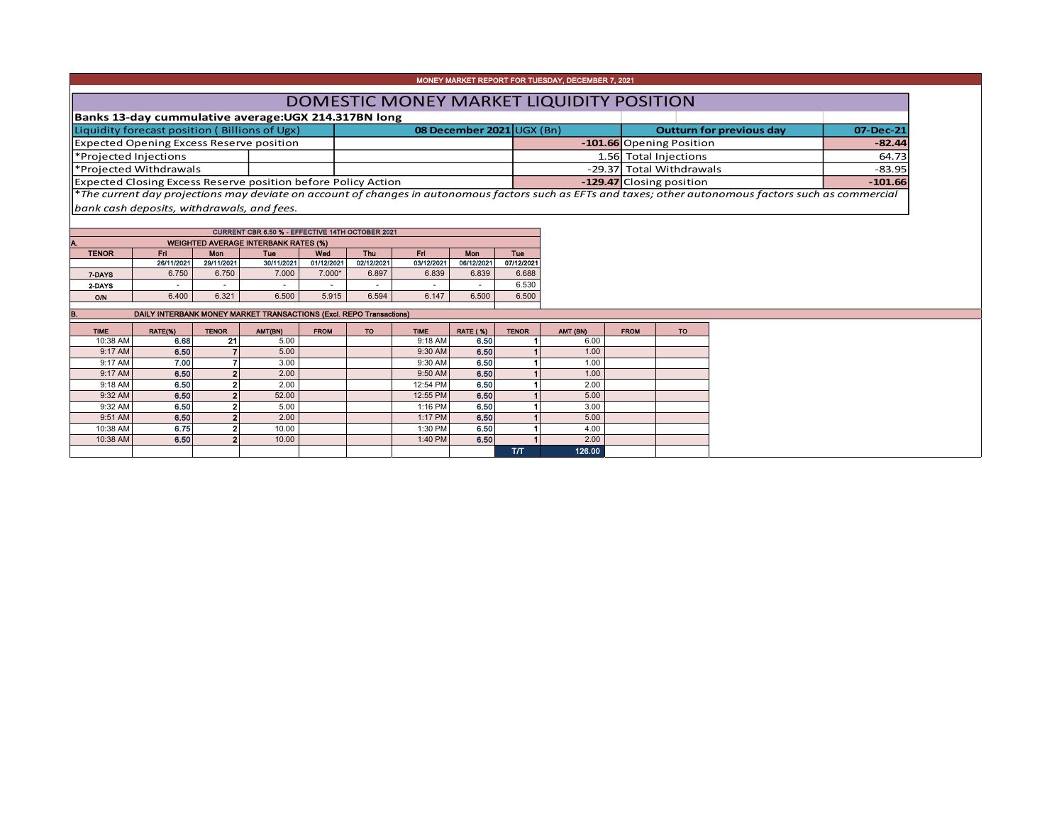| MONEY MARKET REPORT FOR TUESDAY, DECEMBER 7, 2021                                                                                                                    |                             |  |                                 |           |  |  |  |  |  |  |  |
|----------------------------------------------------------------------------------------------------------------------------------------------------------------------|-----------------------------|--|---------------------------------|-----------|--|--|--|--|--|--|--|
| DOMESTIC MONEY MARKET LIQUIDITY POSITION                                                                                                                             |                             |  |                                 |           |  |  |  |  |  |  |  |
| Banks 13-day cummulative average:UGX 214.317BN long                                                                                                                  |                             |  |                                 |           |  |  |  |  |  |  |  |
| Liquidity forecast position (Billions of Ugx)                                                                                                                        | 08 December $2021$ UGX (Bn) |  | <b>Outturn for previous day</b> | 07-Dec-21 |  |  |  |  |  |  |  |
| Expected Opening Excess Reserve position                                                                                                                             |                             |  | -101.66 Opening Position        | $-82.44$  |  |  |  |  |  |  |  |
| Projected Injections                                                                                                                                                 |                             |  | 1.56 Total Injections           | 64.73     |  |  |  |  |  |  |  |
| Frojected Withdrawals                                                                                                                                                |                             |  | -29.37 Total Withdrawals        | $-83.95$  |  |  |  |  |  |  |  |
| Expected Closing Excess Reserve position before Policy Action                                                                                                        |                             |  | -129.47 Closing position        | $-101.66$ |  |  |  |  |  |  |  |
| $\parallel$ *The current day projections may deviate on account of changes in autonomous factors such as EFTs and taxes; other autonomous factors such as commercial |                             |  |                                 |           |  |  |  |  |  |  |  |

T

 $\overline{\phantom{a}}$ 

 $\mathbb{R}^2$ 

*bank cash deposits, withdrawals, and fees.*

| CURRENT CBR 6.50 % - EFFECTIVE 14TH OCTOBER 2021  |            |                          |            |                          |            |                          |            |            |  |  |  |  |  |  |
|---------------------------------------------------|------------|--------------------------|------------|--------------------------|------------|--------------------------|------------|------------|--|--|--|--|--|--|
| <b>WEIGHTED AVERAGE INTERBANK RATES (%)</b><br>A. |            |                          |            |                          |            |                          |            |            |  |  |  |  |  |  |
| <b>TENOR</b>                                      | Fri        | Mon                      | Tue        | Wed                      | Thu        | Fri                      | Mon        | Tue        |  |  |  |  |  |  |
|                                                   | 26/11/2021 | 29/11/2021               | 30/11/2021 | 01/12/2021               | 02/12/2021 | 03/12/2021               | 06/12/2021 | 07/12/2021 |  |  |  |  |  |  |
| 7-DAYS                                            | 6.750      | 6.750                    | 7.000      | $7.000*$                 | 6.897      | 6.839                    | 6.839      | 6.688      |  |  |  |  |  |  |
| 2-DAYS                                            | ۰          | $\overline{\phantom{a}}$ | ۰          | $\overline{\phantom{a}}$ |            | $\overline{\phantom{a}}$ |            | 6.530      |  |  |  |  |  |  |
| <b>O/N</b>                                        | 6.400      | 6.321                    | 6.500      | 5.915                    | 6.594      | 6.147                    | 6.500      | 6.500      |  |  |  |  |  |  |
|                                                   |            |                          |            |                          |            |                          |            |            |  |  |  |  |  |  |

**DAILY INTERBANK MONEY MARKET TRANSACTIONS (Excl. REPO Transactions)** T an Tana mille i a ka an Bar a ka

| <b>TIME</b> | RATE(%) | <b>TENOR</b> | AMT(BN) | <b>FROM</b> | TO. | <b>TIME</b> | <b>RATE ( %)</b> | <b>TENOR</b> | AMT (BN) | <b>FROM</b> | то |
|-------------|---------|--------------|---------|-------------|-----|-------------|------------------|--------------|----------|-------------|----|
| 10:38 AM    | 6.68    | 21           | 5.00    |             |     | $9:18$ AM   | 6.50             |              | 6.00     |             |    |
| 9:17 AM     | 6.50    |              | 5.00    |             |     | 9:30 AM     | 6.50             |              | 1.00     |             |    |
| 9:17 AM     | 7.00    |              | 3.00    |             |     | 9:30 AM     | 6.50             |              | 1.00     |             |    |
| 9:17 AM     | 6.50    |              | 2.00    |             |     | 9:50 AM     | 6.50             |              | 1.00     |             |    |
| 9:18 AM     | 6.50    |              | 2.00    |             |     | 12:54 PM    | 6.50             |              | 2.00     |             |    |
| $9:32$ AM   | 6.50    |              | 52.00   |             |     | 12:55 PM    | 6.50             |              | 5.00     |             |    |
| 9:32 AM     | 6.50    |              | 5.00    |             |     | 1:16 PM     | 6.50             |              | 3.00     |             |    |
| 9:51 AM     | 6,50    |              | 2.00    |             |     | $1:17$ PM   | 6.50             |              | 5.00     |             |    |
| 10:38 AM    | 6.75    |              | 10.00   |             |     | 1:30 PM     | 6.50             |              | 4.00     |             |    |
| 10:38 AM    | 6.50    |              | 10.00   |             |     | 1:40 PM     | 6.50             |              | 2.00     |             |    |
|             |         |              |         |             |     |             |                  | <b>T/T</b>   | 126.00   |             |    |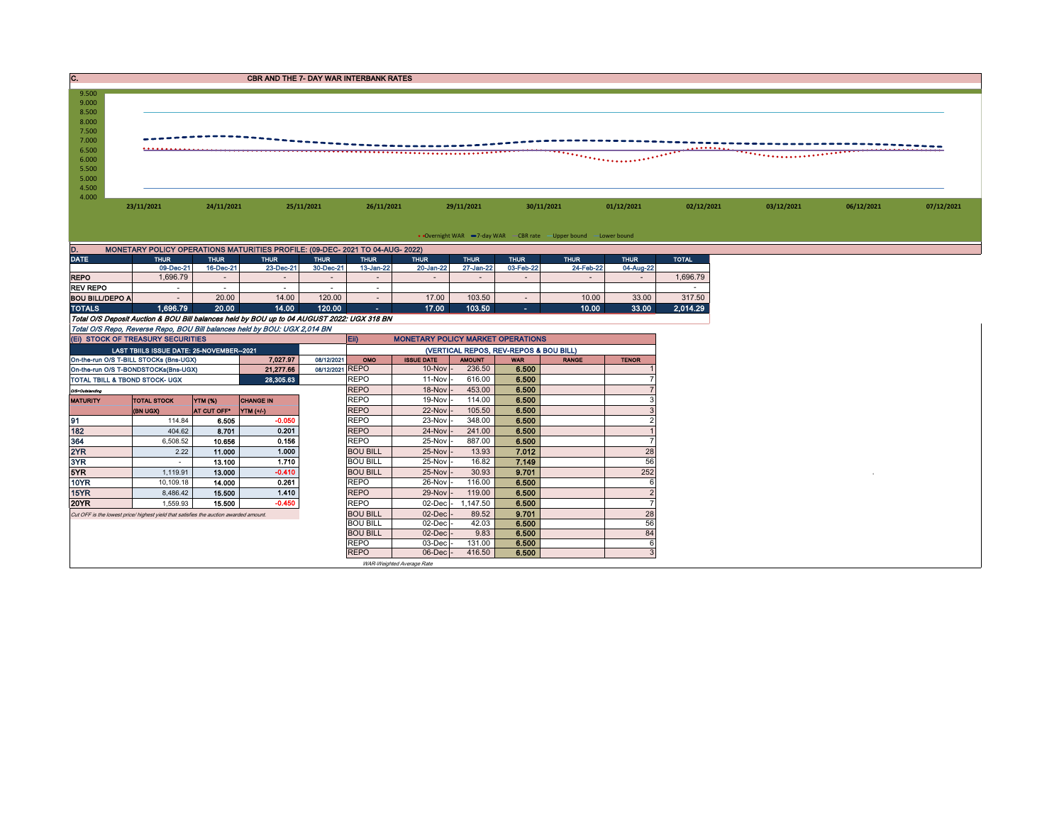|                                           |                                                                                            |                      | <b>CBR AND THE 7- DAY WAR INTERBANK RATES</b> |                               |                                |                                          |                                        |                          |                                                                   |                |                  |            |  |
|-------------------------------------------|--------------------------------------------------------------------------------------------|----------------------|-----------------------------------------------|-------------------------------|--------------------------------|------------------------------------------|----------------------------------------|--------------------------|-------------------------------------------------------------------|----------------|------------------|------------|--|
| 9.500                                     |                                                                                            |                      |                                               |                               |                                |                                          |                                        |                          |                                                                   |                |                  |            |  |
| 9.000<br>8.500                            |                                                                                            |                      |                                               |                               |                                |                                          |                                        |                          |                                                                   |                |                  |            |  |
| 8.000                                     |                                                                                            |                      |                                               |                               |                                |                                          |                                        |                          |                                                                   |                |                  |            |  |
| 7.500<br>7.000                            |                                                                                            |                      |                                               |                               |                                |                                          |                                        |                          |                                                                   |                |                  |            |  |
| 6.500                                     |                                                                                            |                      |                                               |                               |                                |                                          |                                        |                          |                                                                   |                | <u>.</u>         |            |  |
| 6.000                                     |                                                                                            |                      |                                               |                               |                                |                                          |                                        |                          |                                                                   |                |                  |            |  |
| 5.500                                     |                                                                                            |                      |                                               |                               |                                |                                          |                                        |                          |                                                                   |                |                  |            |  |
| 5.000<br>4.500                            |                                                                                            |                      |                                               |                               |                                |                                          |                                        |                          |                                                                   |                |                  |            |  |
| 4.000                                     |                                                                                            |                      |                                               |                               |                                |                                          |                                        |                          |                                                                   |                |                  |            |  |
|                                           | 23/11/2021                                                                                 | 24/11/2021           |                                               | 25/11/2021                    | 26/11/2021                     |                                          | 29/11/2021                             |                          | 30/11/2021                                                        | 01/12/2021     | 02/12/2021       | 03/12/2021 |  |
|                                           |                                                                                            |                      |                                               |                               |                                |                                          |                                        |                          |                                                                   |                |                  |            |  |
|                                           |                                                                                            |                      |                                               |                               |                                |                                          |                                        |                          | • Overnight WAR -7-day WAR - CBR rate - Upper bound - Lower bound |                |                  |            |  |
|                                           | MONETARY POLICY OPERATIONS MATURITIES PROFILE: (09-DEC- 2021 TO 04-AUG- 2022)              |                      |                                               |                               |                                |                                          |                                        |                          |                                                                   |                |                  |            |  |
| <b>DATE</b>                               | <b>THUR</b>                                                                                | <b>THUR</b>          | <b>THUR</b>                                   | <b>THUR</b>                   | <b>THUR</b>                    | <b>THUR</b>                              | <b>THUR</b>                            | <b>THUR</b>              | <b>THUR</b>                                                       | <b>THUR</b>    | <b>TOTAL</b>     |            |  |
|                                           | 09-Dec-21                                                                                  | 16-Dec-21            | 23-Dec-21                                     | 30-Dec-21                     | 13-Jan-22                      | 20-Jan-22                                | 27-Jan-22                              | 03-Feb-22                | 24-Feb-22                                                         | 04-Aug-22      |                  |            |  |
| <b>REPO</b>                               | 1.696.79                                                                                   | $\sim$               | $\sim$                                        | $\overline{\phantom{a}}$      | $\sim$                         | $\sim$                                   | $\sim$                                 | $\sim$                   | $\sim$                                                            | $\sim$         | 1,696.79         |            |  |
| <b>REV REPO</b><br><b>BOU BILL/DEPO A</b> | $\sim$<br>$\sim$                                                                           | $\sim$<br>20.00      | $\sim$<br>14.00                               | $\sim$<br>120.00              | $\sim$<br>$\sim$               | 17.00                                    | 103.50                                 | $\overline{\phantom{a}}$ | 10.00                                                             | 33.00          | $\sim$<br>317.50 |            |  |
| <b>TOTALS</b>                             | 1,696.79                                                                                   | 20.00                | 14.00                                         | 120.00                        | $\sim$                         | 17.00                                    | 103.50                                 | m.                       | 10.00                                                             | 33.00          | 2,014.29         |            |  |
|                                           | Total O/S Deposit Auction & BOU Bill balances held by BOU up to 04 AUGUST 2022: UGX 318 BN |                      |                                               |                               |                                |                                          |                                        |                          |                                                                   |                |                  |            |  |
|                                           | Total O/S Repo, Reverse Repo, BOU Bill balances held by BOU: UGX 2,014 BN                  |                      |                                               |                               |                                |                                          |                                        |                          |                                                                   |                |                  |            |  |
|                                           | (EI) STOCK OF TREASURY SECURITIES                                                          |                      |                                               |                               | Eii)                           | <b>MONETARY POLICY MARKET OPERATIONS</b> |                                        |                          |                                                                   |                |                  |            |  |
|                                           | LAST TBIILS ISSUE DATE: 25-NOVEMBER--2021                                                  |                      |                                               |                               |                                |                                          | (VERTICAL REPOS, REV-REPOS & BOU BILL) |                          |                                                                   |                |                  |            |  |
|                                           | On-the-run O/S T-BILL STOCKs (Bns-UGX)<br>On-the-run O/S T-BONDSTOCKs(Bns-UGX)             |                      | 7,027.97<br>21,277.66                         | 08/12/2021<br>08/12/2021 REPO | OMO                            | <b>ISSUE DATE</b><br>$10-Nov$            | <b>AMOUNT</b><br>236.50                | <b>WAR</b><br>6.500      | <b>RANGE</b>                                                      | <b>TENOR</b>   |                  |            |  |
|                                           | TOTAL TBILL & TBOND STOCK- UGX                                                             |                      | 28,305.63                                     |                               | <b>REPO</b>                    | 11-Nov                                   | 616.00                                 | 6.500                    |                                                                   |                |                  |            |  |
| O/S=Outstanding                           |                                                                                            |                      |                                               |                               | <b>REPO</b>                    | 18-Nov                                   | 453.00                                 | 6.500                    |                                                                   |                |                  |            |  |
| <b>MATURITY</b>                           | <b>TOTAL STOCK</b>                                                                         | YTM (%)              | <b>CHANGE IN</b>                              |                               | <b>REPO</b>                    | 19-Nov                                   | 114.00                                 | 6.500                    |                                                                   |                |                  |            |  |
|                                           | (BN UGX)                                                                                   | AT CUT OFF YTM (+/-) |                                               |                               | <b>REPO</b>                    | 22-Nov                                   | 105.50                                 | 6.500                    |                                                                   |                |                  |            |  |
|                                           | 114.84                                                                                     | 6.505                | $-0.050$                                      |                               | <b>REPO</b>                    | 23-Nov                                   | 348.00                                 | 6.500                    |                                                                   |                |                  |            |  |
| 182                                       | 404.62                                                                                     | 8.701                | 0.201                                         |                               | <b>REPO</b>                    | 24-Nov                                   | 241.00                                 | 6.500                    |                                                                   |                |                  |            |  |
| 364<br>2YR                                | 6,508.52<br>2.22                                                                           | 10.656<br>11.000     | 0.156<br>1.000                                |                               | <b>REPO</b><br><b>BOU BILL</b> | 25-Nov<br>25-Nov                         | 887.00<br>13.93                        | 6.500<br>7.012           |                                                                   | 28             |                  |            |  |
| 3YR                                       | $\sim$                                                                                     | 13.100               | 1.710                                         |                               | <b>BOU BILL</b>                | 25-Nov                                   | 16.82                                  | 7.149                    |                                                                   | 56             |                  |            |  |
| 5YR                                       | 1,119.91                                                                                   | 13.000               | $-0.410$                                      |                               | <b>BOU BILL</b>                | 25-Nov                                   | 30.93                                  | 9.701                    |                                                                   | 252            |                  |            |  |
| <b>10YR</b>                               | 10,109.18                                                                                  | 14.000               | 0.261                                         |                               | <b>REPO</b>                    | 26-Nov                                   | 116.00                                 | 6.500                    |                                                                   | 6              |                  |            |  |
| 15YR                                      | 8,486.42                                                                                   | 15.500               | 1.410                                         |                               | <b>REPO</b>                    | 29-Nov                                   | 119.00                                 | 6.500                    |                                                                   | $\overline{2}$ |                  |            |  |
| <b>20YR</b>                               | 1,559.93                                                                                   | 15,500               | $-0.450$                                      |                               | <b>REPO</b>                    | 02-Dec                                   | 1,147.50                               | 6.500                    |                                                                   | 7              |                  |            |  |
|                                           | Cut OFF is the lowest price/ highest yield that satisfies the auction awarded amount.      |                      |                                               |                               | <b>BOU BILL</b>                | $02$ -Dec                                | 89.52                                  | 9.701                    |                                                                   | 28             |                  |            |  |
|                                           |                                                                                            |                      |                                               |                               | <b>BOU BILL</b>                | 02-Dec                                   | 42.03                                  | 6.500                    |                                                                   | 56             |                  |            |  |
|                                           |                                                                                            |                      |                                               |                               | <b>BOU BILL</b><br><b>REPO</b> | 02-Dec<br>03-Dec                         | 9.83<br>131.00                         | 6.500<br>6.500           |                                                                   | 84<br>6        |                  |            |  |
|                                           |                                                                                            |                      |                                               |                               | <b>REPO</b>                    | $06$ -Dec $\vert$ -                      | 416.50                                 | 6.500                    |                                                                   | 3              |                  |            |  |

WAR-Weighted Average Rate